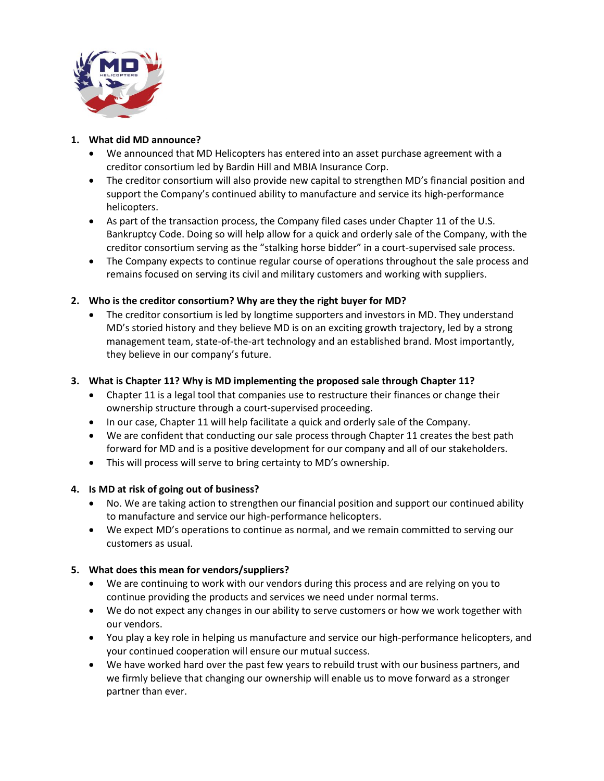

#### **1. What did MD announce?**

- We announced that MD Helicopters has entered into an asset purchase agreement with a creditor consortium led by Bardin Hill and MBIA Insurance Corp.
- The creditor consortium will also provide new capital to strengthen MD's financial position and support the Company's continued ability to manufacture and service its high-performance helicopters.
- As part of the transaction process, the Company filed cases under Chapter 11 of the U.S. Bankruptcy Code. Doing so will help allow for a quick and orderly sale of the Company, with the creditor consortium serving as the "stalking horse bidder" in a court-supervised sale process.
- The Company expects to continue regular course of operations throughout the sale process and remains focused on serving its civil and military customers and working with suppliers.

# **2. Who is the creditor consortium? Why are they the right buyer for MD?**

• The creditor consortium is led by longtime supporters and investors in MD. They understand MD's storied history and they believe MD is on an exciting growth trajectory, led by a strong management team, state-of-the-art technology and an established brand. Most importantly, they believe in our company's future.

## **3. What is Chapter 11? Why is MD implementing the proposed sale through Chapter 11?**

- Chapter 11 is a legal tool that companies use to restructure their finances or change their ownership structure through a court-supervised proceeding.
- In our case, Chapter 11 will help facilitate a quick and orderly sale of the Company.
- We are confident that conducting our sale process through Chapter 11 creates the best path forward for MD and is a positive development for our company and all of our stakeholders.
- This will process will serve to bring certainty to MD's ownership.

## **4. Is MD at risk of going out of business?**

- No. We are taking action to strengthen our financial position and support our continued ability to manufacture and service our high-performance helicopters.
- We expect MD's operations to continue as normal, and we remain committed to serving our customers as usual.

## **5. What does this mean for vendors/suppliers?**

- We are continuing to work with our vendors during this process and are relying on you to continue providing the products and services we need under normal terms.
- We do not expect any changes in our ability to serve customers or how we work together with our vendors.
- You play a key role in helping us manufacture and service our high-performance helicopters, and your continued cooperation will ensure our mutual success.
- We have worked hard over the past few years to rebuild trust with our business partners, and we firmly believe that changing our ownership will enable us to move forward as a stronger partner than ever.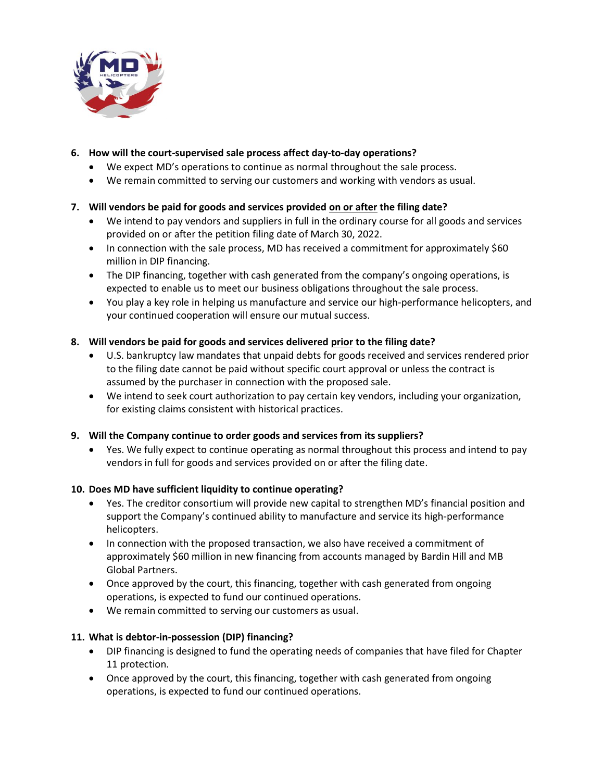

## **6. How will the court-supervised sale process affect day-to-day operations?**

- We expect MD's operations to continue as normal throughout the sale process.
- We remain committed to serving our customers and working with vendors as usual.

## **7. Will vendors be paid for goods and services provided on or after the filing date?**

- We intend to pay vendors and suppliers in full in the ordinary course for all goods and services provided on or after the petition filing date of March 30, 2022.
- In connection with the sale process, MD has received a commitment for approximately \$60 million in DIP financing.
- The DIP financing, together with cash generated from the company's ongoing operations, is expected to enable us to meet our business obligations throughout the sale process.
- You play a key role in helping us manufacture and service our high-performance helicopters, and your continued cooperation will ensure our mutual success.

## **8. Will vendors be paid for goods and services delivered prior to the filing date?**

- U.S. bankruptcy law mandates that unpaid debts for goods received and services rendered prior to the filing date cannot be paid without specific court approval or unless the contract is assumed by the purchaser in connection with the proposed sale.
- We intend to seek court authorization to pay certain key vendors, including your organization, for existing claims consistent with historical practices.

#### **9. Will the Company continue to order goods and services from its suppliers?**

• Yes. We fully expect to continue operating as normal throughout this process and intend to pay vendors in full for goods and services provided on or after the filing date.

#### **10. Does MD have sufficient liquidity to continue operating?**

- Yes. The creditor consortium will provide new capital to strengthen MD's financial position and support the Company's continued ability to manufacture and service its high-performance helicopters.
- In connection with the proposed transaction, we also have received a commitment of approximately \$60 million in new financing from accounts managed by Bardin Hill and MB Global Partners.
- Once approved by the court, this financing, together with cash generated from ongoing operations, is expected to fund our continued operations.
- We remain committed to serving our customers as usual.

#### **11. What is debtor-in-possession (DIP) financing?**

- DIP financing is designed to fund the operating needs of companies that have filed for Chapter 11 protection.
- Once approved by the court, this financing, together with cash generated from ongoing operations, is expected to fund our continued operations.